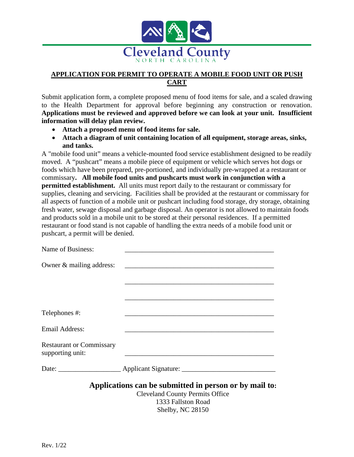

# **APPLICATION FOR PERMIT TO OPERATE A MOBILE FOOD UNIT OR PUSH CART**

Submit application form, a complete proposed menu of food items for sale, and a scaled drawing to the Health Department for approval before beginning any construction or renovation. **Applications must be reviewed and approved before we can look at your unit. Insufficient information will delay plan review.**

- **Attach a proposed menu of food items for sale.**
- **Attach a diagram of unit containing location of all equipment, storage areas, sinks, and tanks.**

A "mobile food unit" means a vehicle-mounted food service establishment designed to be readily moved. A "pushcart" means a mobile piece of equipment or vehicle which serves hot dogs or foods which have been prepared, pre-portioned, and individually pre-wrapped at a restaurant or commissary**. All mobile food units and pushcarts must work in conjunction with a permitted establishment.** All units must report daily to the restaurant or commissary for supplies, cleaning and servicing. Facilities shall be provided at the restaurant or commissary for all aspects of function of a mobile unit or pushcart including food storage, dry storage, obtaining fresh water, sewage disposal and garbage disposal. An operator is not allowed to maintain foods and products sold in a mobile unit to be stored at their personal residences. If a permitted restaurant or food stand is not capable of handling the extra needs of a mobile food unit or pushcart, a permit will be denied.

| Name of Business:                                   |                                                                                                  |
|-----------------------------------------------------|--------------------------------------------------------------------------------------------------|
| Owner & mailing address:                            |                                                                                                  |
|                                                     |                                                                                                  |
|                                                     |                                                                                                  |
| Telephones #:                                       |                                                                                                  |
| <b>Email Address:</b>                               |                                                                                                  |
| <b>Restaurant or Commissary</b><br>supporting unit: |                                                                                                  |
|                                                     | Date: <u>Applicant Signature:</u>                                                                |
|                                                     | Applications can be submitted in person or by mail to:<br><b>Cleveland County Permits Office</b> |

1333 Fallston Road Shelby, NC 28150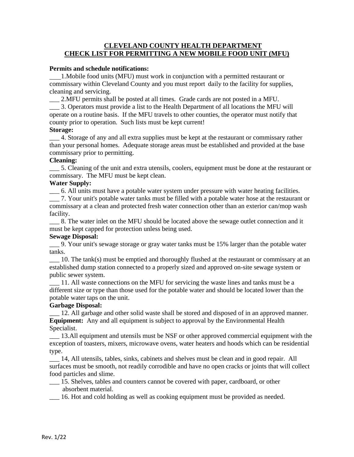### **CLEVELAND COUNTY HEALTH DEPARTMENT CHECK LIST FOR PERMITTING A NEW MOBILE FOOD UNIT (MFU)**

#### **Permits and schedule notifications:**

 1.Mobile food units (MFU) must work in conjunction with a permitted restaurant or commissary within Cleveland County and you must report daily to the facility for supplies, cleaning and servicing.

\_\_\_ 2.MFU permits shall be posted at all times. Grade cards are not posted in a MFU.

\_\_\_ 3. Operators must provide a list to the Health Department of all locations the MFU will operate on a routine basis. If the MFU travels to other counties, the operator must notify that county prior to operation. Such lists must be kept current!

# **Storage:**

\_\_\_ 4. Storage of any and all extra supplies must be kept at the restaurant or commissary rather than your personal homes. Adequate storage areas must be established and provided at the base commissary prior to permitting.

### **Cleaning:**

\_\_\_ 5. Cleaning of the unit and extra utensils, coolers, equipment must be done at the restaurant or commissary. The MFU must be kept clean.

### **Water Supply:**

\_\_\_ 6. All units must have a potable water system under pressure with water heating facilities.

\_\_\_ 7. Your unit's potable water tanks must be filled with a potable water hose at the restaurant or commissary at a clean and protected fresh water connection other than an exterior can/mop wash facility.

\_\_\_ 8. The water inlet on the MFU should be located above the sewage outlet connection and it must be kept capped for protection unless being used.

### **Sewage Disposal:**

\_\_\_ 9. Your unit's sewage storage or gray water tanks must be 15% larger than the potable water tanks.

10. The tank(s) must be emptied and thoroughly flushed at the restaurant or commissary at an established dump station connected to a properly sized and approved on-site sewage system or public sewer system.

11. All waste connections on the MFU for servicing the waste lines and tanks must be a different size or type than those used for the potable water and should be located lower than the potable water taps on the unit.

### **Garbage Disposal:**

\_\_\_ 12. All garbage and other solid waste shall be stored and disposed of in an approved manner. **Equipment:** Any and all equipment is subject to approval by the Environmental Health Specialist.

\_\_\_ 13.All equipment and utensils must be NSF or other approved commercial equipment with the exception of toasters, mixers, microwave ovens, water heaters and hoods which can be residential type.

\_\_\_ 14, All utensils, tables, sinks, cabinets and shelves must be clean and in good repair. All surfaces must be smooth, not readily corrodible and have no open cracks or joints that will collect food particles and slime.

\_\_\_ 15. Shelves, tables and counters cannot be covered with paper, cardboard, or other absorbent material.

\_\_\_ 16. Hot and cold holding as well as cooking equipment must be provided as needed.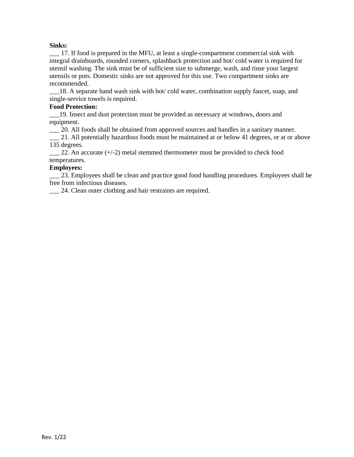### **Sinks:**

\_\_\_ 17. If food is prepared in the MFU, at least a single-compartment commercial sink with integral drainboards, rounded corners, splashback protection and hot/ cold water is required for utensil washing. The sink must be of sufficient size to submerge, wash, and rinse your largest utensils or pots. Domestic sinks are not approved for this use. Two compartment sinks are recommended.

\_\_\_18. A separate hand wash sink with hot/ cold water, combination supply faucet, soap, and single-service towels is required.

#### **Food Protection:**

\_\_\_19. Insect and dust protection must be provided as necessary at windows, doors and equipment.

\_\_\_ 20. All foods shall be obtained from approved sources and handles in a sanitary manner.

\_\_\_ 21. All potentially hazardous foods must be maintained at or below 41 degrees, or at or above 135 degrees.

 $\_\_$  22. An accurate ( $\div$ /-2) metal stemmed thermometer must be provided to check food temperatures.

### **Employees:**

\_\_\_ 23. Employees shall be clean and practice good food handling procedures. Employees shall be free from infectious diseases.

\_\_\_ 24. Clean outer clothing and hair restraints are required.